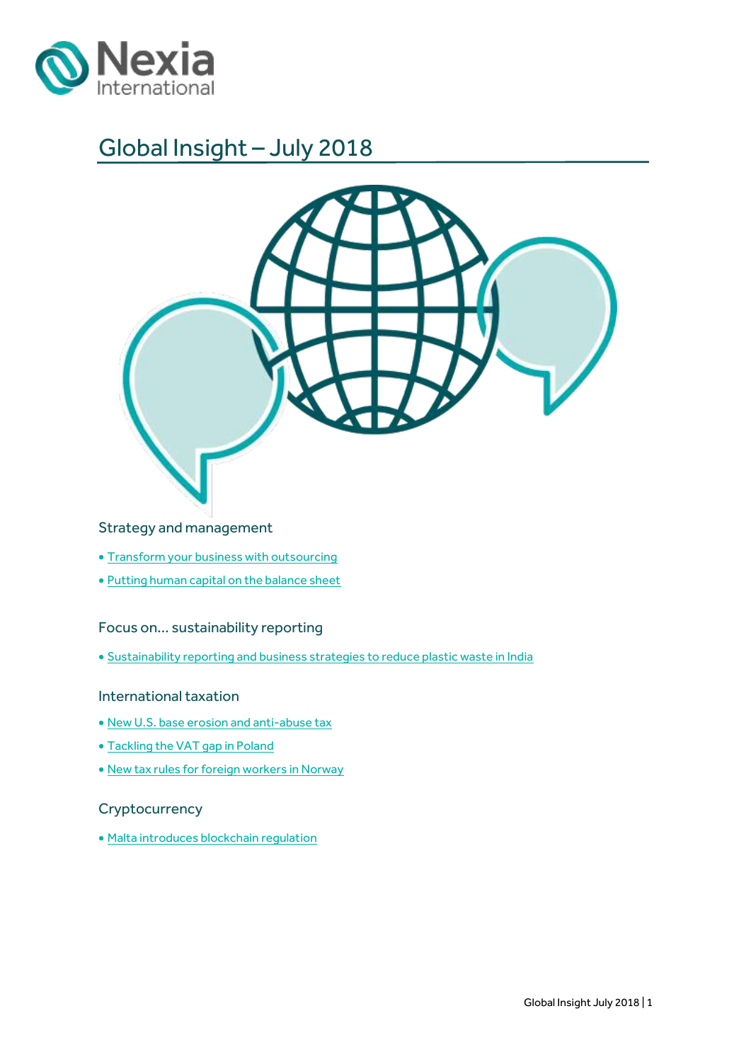

# Global Insight – July 2018



## Strategy and management

- [Transform your business with outsourcing](#page-1-0)
- [Putting human capital on the balance sheet](#page-3-0)

### Focus on… sustainability reporting

[Sustainability reporting and business strategies to reduce plastic waste in India](#page-6-0)

### International taxation

- New U.S. [base erosion and anti-abuse tax](#page-8-0)
- [Tackling the VAT gap in Poland](#page-10-0)
- [New tax rules for foreign workers in Norway](#page-12-0)

## **Cryptocurrency**

[Malta introduces blockchain regulation](#page-14-0)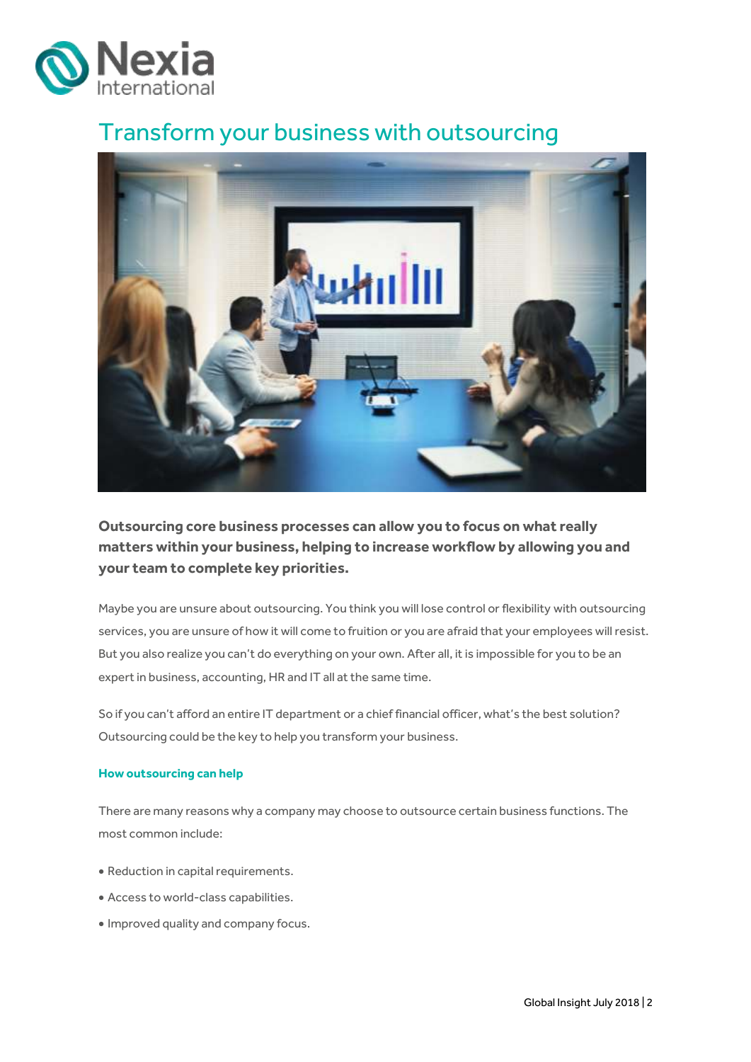

## <span id="page-1-0"></span>Transform your business with outsourcing



**Outsourcing core business processes can allow you to focus on what really matters within your business, helping to increase workflow by allowing you and your team to complete key priorities.**

Maybe you are unsure about outsourcing. You think you will lose control or flexibility with outsourcing services, you are unsure of how it will come to fruition or you are afraid that your employees will resist. But you also realize you can't do everything on your own. After all, it is impossible for you to be an expert in business, accounting, HR and IT all at the same time.

So if you can't afford an entire IT department or a chief financial officer, what's the best solution? Outsourcing could be the key to help you transform your business.

### **How outsourcing can help**

There are many reasons why a company may choose to outsource certain business functions. The most common include:

- Reduction in capital requirements.
- Access to world-class capabilities.
- Improved quality and company focus.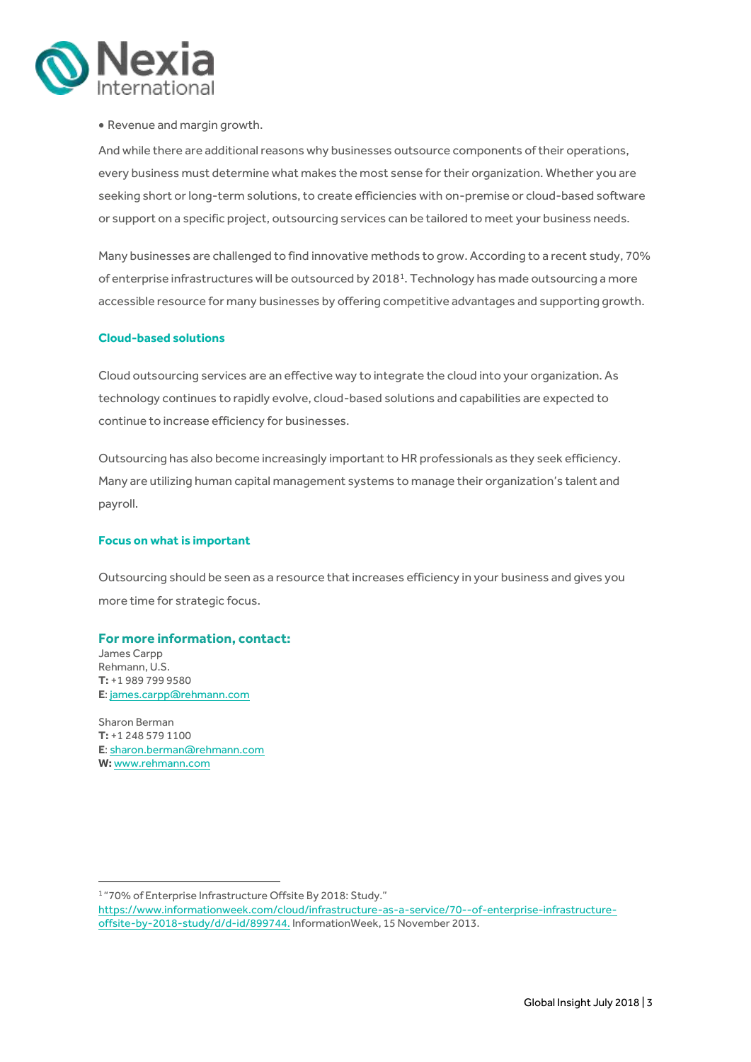

### Revenue and margin growth.

And while there are additional reasons why businesses outsource components of their operations, every business must determine what makes the most sense for their organization. Whether you are seeking short or long-term solutions, to create efficiencies with on-premise or cloud-based software or support on a specific project, outsourcing services can be tailored to meet your business needs.

Many businesses are challenged to find innovative methods to grow. According to a recent study, 70% of enterprise infrastructures will be outsourced by 2018<sup>1</sup>. Technology has made outsourcing a more accessible resource for many businesses by offering competitive advantages and supporting growth.

#### **Cloud-based solutions**

Cloud outsourcing services are an effective way to integrate the cloud into your organization. As technology continues to rapidly evolve, cloud-based solutions and capabilities are expected to continue to increase efficiency for businesses.

Outsourcing has also become increasingly important to HR professionals as they seek efficiency. Many are utilizing human capital management systems to manage their organization's talent and payroll.

#### **Focus on what is important**

Outsourcing should be seen as a resource that increases efficiency in your business and gives you more time for strategic focus.

#### **For more information, contact:**

James Carpp Rehmann, U.S. **T:** +1 989 799 9580 **E**[: james.carpp@rehmann.com](mailto:james.carpp@rehmann.com)

Sharon Berman **T:** +1 248 579 1100 **E**[: sharon.berman@rehmann.com](mailto:sharon.berman@rehmann.com) **W:** [www.rehmann.com](http://www.rehmann.com/)

**.** 

<sup>1</sup> "70% of Enterprise Infrastructure Offsite By 2018: Study." https://www.informationweek.com/cloud/infrastructure-as-a-service/70--of-enterprise-infrastructureoffsite-by-2018-study/d/d-id/899744. InformationWeek, 15 November 2013.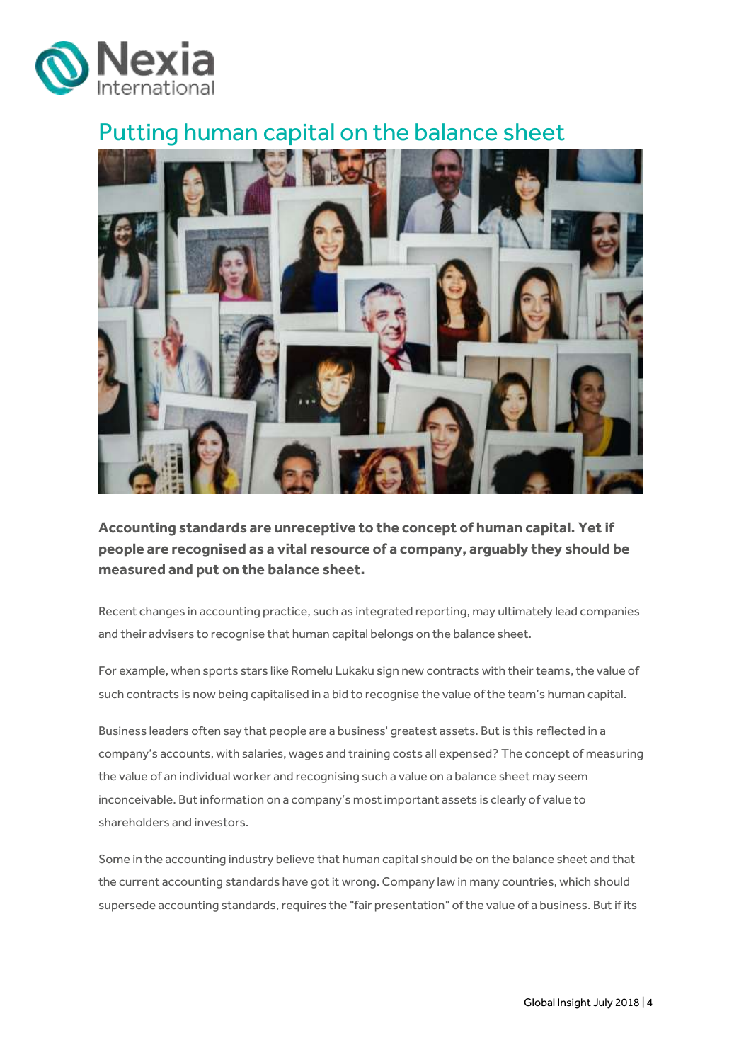

## <span id="page-3-0"></span>Putting human capital on the balance sheet



**Accounting standards are unreceptive to the concept of human capital. Yet if people are recognised as a vital resource of a company, arguably they should be measured and put on the balance sheet.**

Recent changes in accounting practice, such as integrated reporting, may ultimately lead companies and their advisers to recognise that human capital belongs on the balance sheet.

For example, when sports stars like Romelu Lukaku sign new contracts with their teams, the value of such contracts is now being capitalised in a bid to recognise the value of the team's human capital.

Business leaders often say that people are a business' greatest assets. But is this reflected in a company's accounts, with salaries, wages and training costs all expensed? The concept of measuring the value of an individual worker and recognising such a value on a balance sheet may seem inconceivable. But information on a company's most important assets is clearly of value to shareholders and investors.

Some in the accounting industry believe that human capital should be on the balance sheet and that the current accounting standards have got it wrong. Company law in many countries, which should supersede accounting standards, requires the "fair presentation" of the value of a business. But if its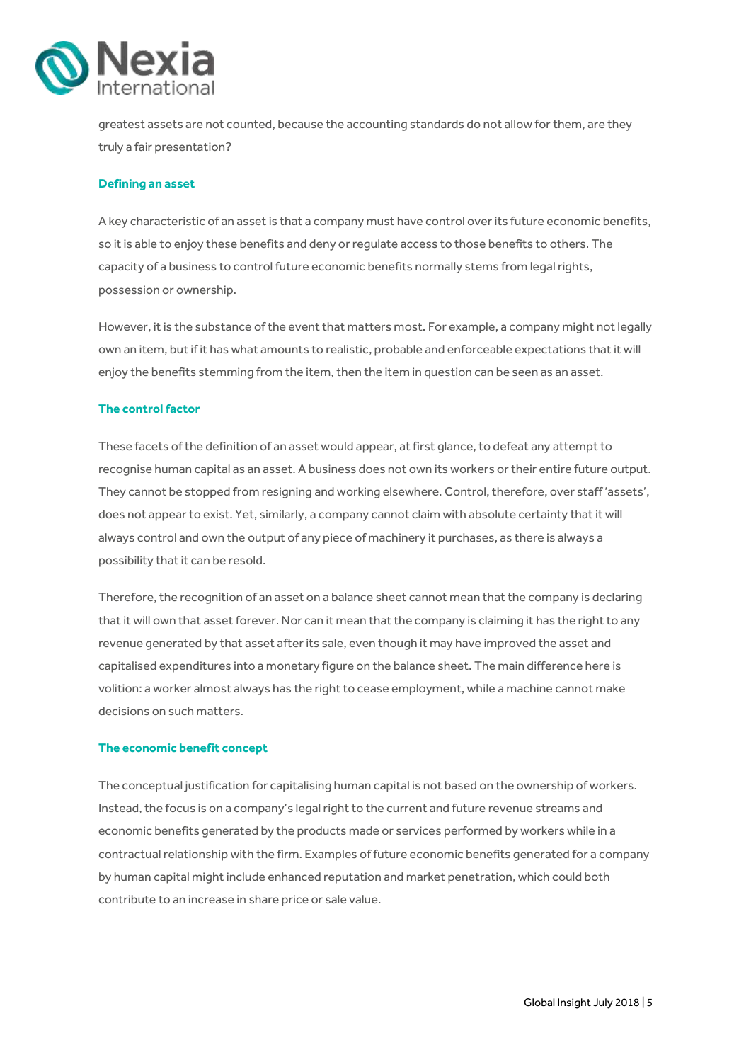

greatest assets are not counted, because the accounting standards do not allow for them, are they truly a fair presentation?

#### **Defining an asset**

A key characteristic of an asset is that a company must have control over its future economic benefits, so it is able to enjoy these benefits and deny or regulate access to those benefits to others. The capacity of a business to control future economic benefits normally stems from legal rights, possession or ownership.

However, it is the substance of the event that matters most. For example, a company might not legally own an item, but if it has what amounts to realistic, probable and enforceable expectations that it will enjoy the benefits stemming from the item, then the item in question can be seen as an asset.

#### **The control factor**

These facets of the definition of an asset would appear, at first glance, to defeat any attempt to recognise human capital as an asset. A business does not own its workers or their entire future output. They cannot be stopped from resigning and working elsewhere. Control, therefore, over staff 'assets', does not appear to exist. Yet, similarly, a company cannot claim with absolute certainty that it will always control and own the output of any piece of machinery it purchases, as there is always a possibility that it can be resold.

Therefore, the recognition of an asset on a balance sheet cannot mean that the company is declaring that it will own that asset forever. Nor can it mean that the company is claiming it has the right to any revenue generated by that asset after its sale, even though it may have improved the asset and capitalised expenditures into a monetary figure on the balance sheet. The main difference here is volition: a worker almost always has the right to cease employment, while a machine cannot make decisions on such matters.

#### **The economic benefit concept**

The conceptual justification for capitalising human capital is not based on the ownership of workers. Instead, the focus is on a company's legal right to the current and future revenue streams and economic benefits generated by the products made or services performed by workers while in a contractual relationship with the firm. Examples of future economic benefits generated for a company by human capital might include enhanced reputation and market penetration, which could both contribute to an increase in share price or sale value.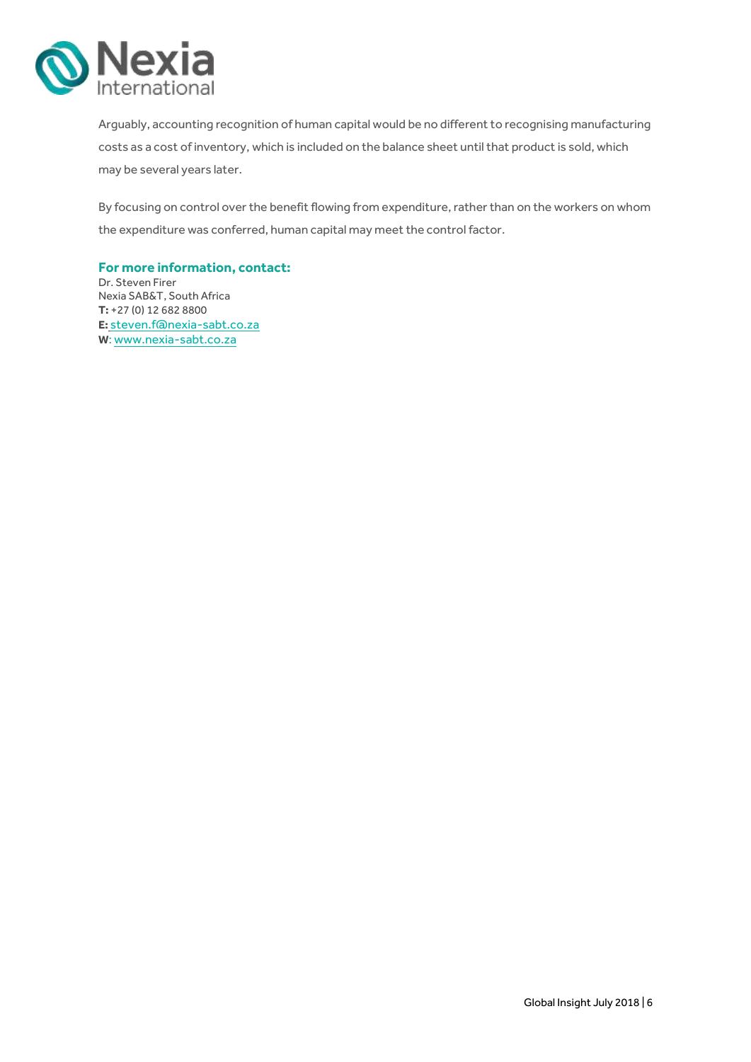

Arguably, accounting recognition of human capital would be no different to recognising manufacturing costs as a cost of inventory, which is included on the balance sheet until that product is sold, which may be several years later.

By focusing on control over the benefit flowing from expenditure, rather than on the workers on whom the expenditure was conferred, human capital may meet the control factor.

**For more information, contact:** Dr. Steven Firer Nexia SAB&T, South Africa **T:** +27 (0) 12 682 8800

**E:** [steven.f@nexia-sabt.co.za](mailto:steven.f@nexia-sabt.co.za) **W**[: www.nexia-sabt.co.za](http://www.nexia-sabt.co.za/)

Global Insight July 2018 | 6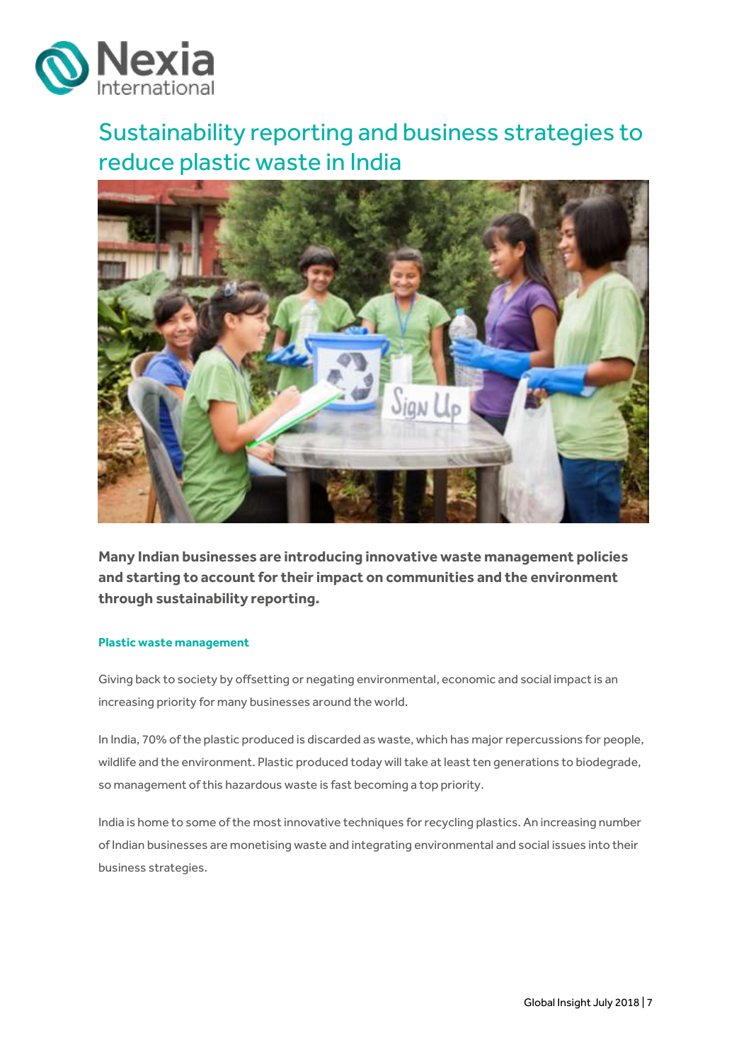

# <span id="page-6-0"></span>Sustainability reporting and business strategies to reduce plastic waste in India



**Many Indian businesses are introducing innovative waste management policies and starting to account for their impact on communities and the environment through sustainability reporting.**

#### **Plastic waste management**

Giving back to society by offsetting or negating environmental, economic and social impact is an increasing priority for many businesses around the world.

In India, 70% of the plastic produced is discarded as waste, which has major repercussions for people, wildlife and the environment. Plastic produced today will take at least ten generations to biodegrade, so management of this hazardous waste is fast becoming a top priority.

India is home to some of the most innovative techniques for recycling plastics. An increasing number of Indian businesses are monetising waste and integrating environmental and social issues into their business strategies.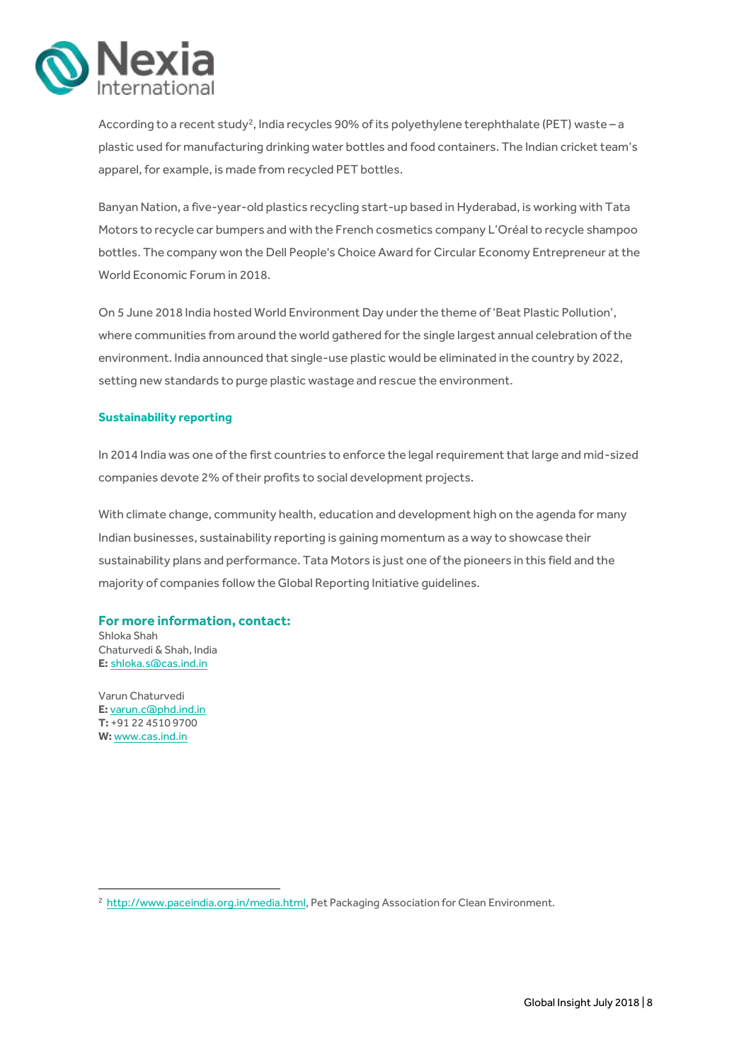

According to a recent study<sup>2</sup>, India recycles 90% of its polyethylene terephthalate (PET) waste - a plastic used for manufacturing drinking water bottles and food containers. The Indian cricket team's apparel, for example, is made from recycled PET bottles.

Banyan Nation, a five-year-old plastics recycling start-up based in Hyderabad, is working with Tata Motors to recycle car bumpers and with the French cosmetics company L'Oréal to recycle shampoo bottles. The company won the Dell People's Choice Award for Circular Economy Entrepreneur at the World Economic Forum in 2018.

On 5 June 2018 India hosted World Environment Day under the theme of 'Beat Plastic Pollution', where communities from around the world gathered for the single largest annual celebration of the environment. India announced that single-use plastic would be eliminated in the country by 2022, setting new standards to purge plastic wastage and rescue the environment.

#### **Sustainability reporting**

In 2014 India was one of the first countries to enforce the legal requirement that large and mid-sized companies devote 2% of their profits to social development projects.

With climate change, community health, education and development high on the agenda for many Indian businesses, sustainability reporting is gaining momentum as a way to showcase their sustainability plans and performance. Tata Motors is just one of the pioneers in this field and the majority of companies follow the Global Reporting Initiative guidelines.

### **For more information, contact:**

Shloka Shah Chaturvedi & Shah, India **E:** [shloka.s@cas.ind.in](mailto:shloka.s@cas.ind.in)

Varun Chaturvedi **E:** [varun.c@phd.ind.in](mailto:varun.c@phd.ind.in) **T:** +91 22 4510 9700 **W:** [www.cas.ind.in](http://www.cas.ind.in/)

1

<sup>&</sup>lt;sup>2</sup> [http://www.paceindia.org.in/media.html,](http://www.paceindia.org.in/media.html) Pet Packaging Association for Clean Environment.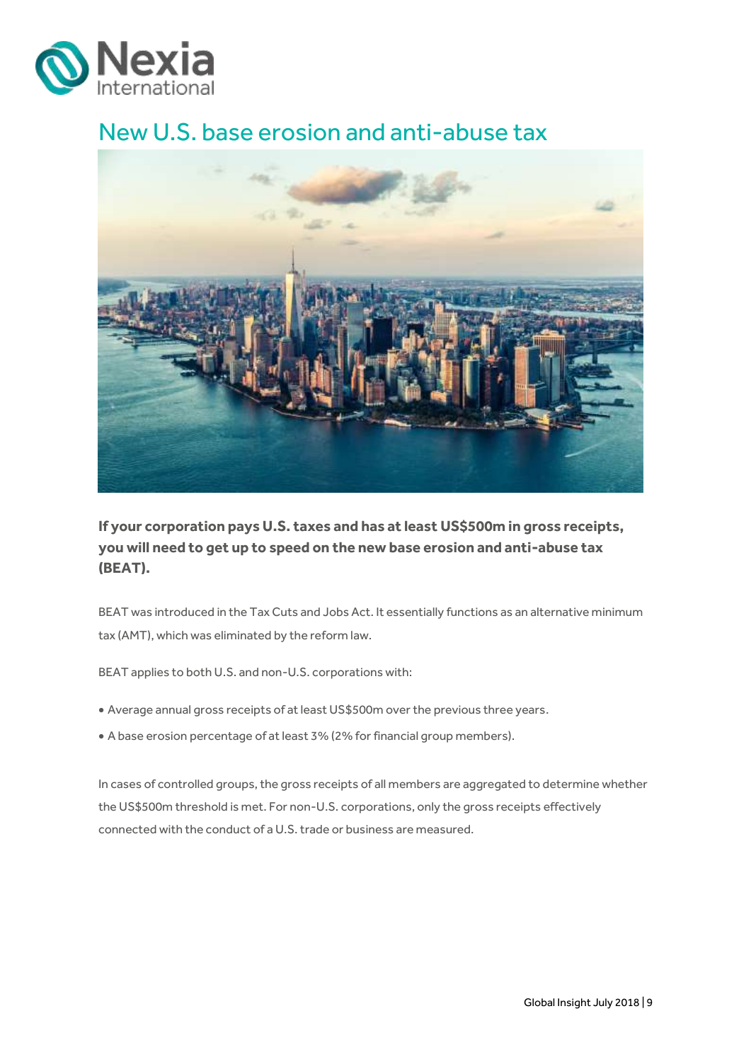

# <span id="page-8-0"></span>New U.S. base erosion and anti-abuse tax



**If your corporation pays U.S. taxes and has at least US\$500m in gross receipts, you will need to get up to speed on the new base erosion and anti-abuse tax (BEAT).**

BEAT was introduced in the Tax Cuts and Jobs Act. It essentially functions as an alternative minimum tax (AMT), which was eliminated by the reform law.

BEAT applies to both U.S. and non-U.S. corporations with:

- Average annual gross receipts of at least US\$500m over the previous three years.
- A base erosion percentage of at least 3% (2% for financial group members).

In cases of controlled groups, the gross receipts of all members are aggregated to determine whether the US\$500m threshold is met. For non-U.S. corporations, only the gross receipts effectively connected with the conduct of a U.S.trade or business are measured.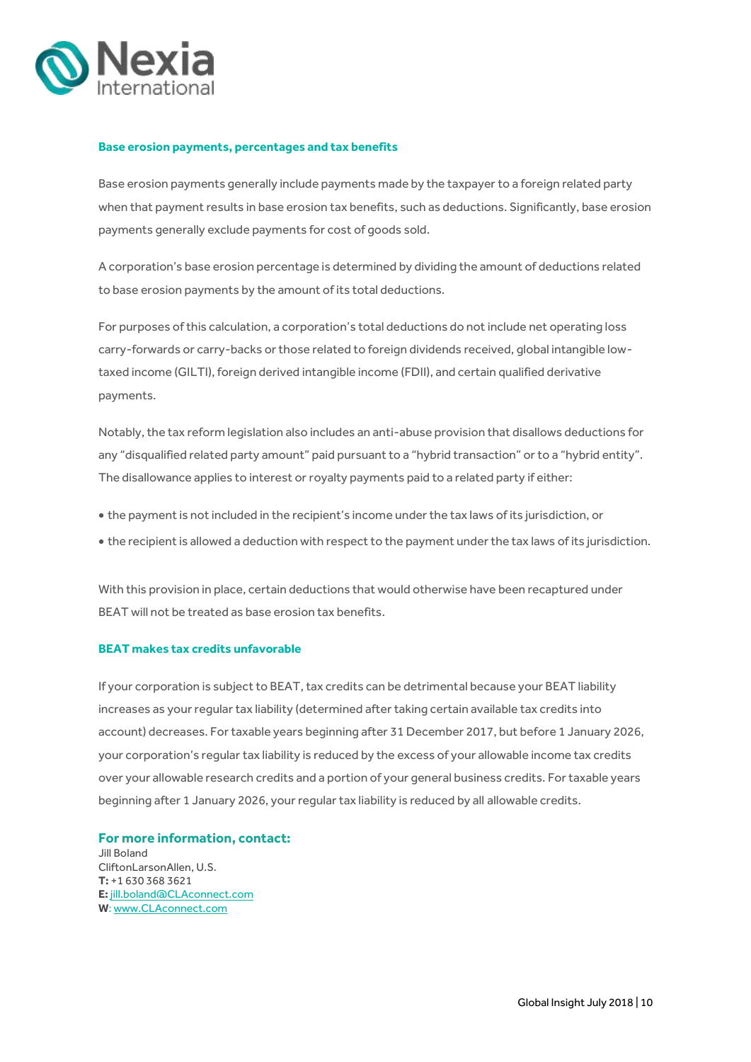

#### **Base erosion payments, percentages and tax benefits**

Base erosion payments generally include payments made by the taxpayer to a foreign related party when that payment results in base erosion tax benefits, such as deductions. Significantly, base erosion payments generally exclude payments for cost of goods sold.

A corporation's base erosion percentage is determined by dividing the amount of deductions related to base erosion payments by the amount of its total deductions.

For purposes of this calculation, a corporation's total deductions do not include net operating loss carry-forwards or carry-backs or those related to foreign dividends received, global intangible lowtaxed income (GILTI), foreign derived intangible income (FDII), and certain qualified derivative payments.

Notably, the tax reform legislation also includes an anti-abuse provision that disallows deductions for any "disqualified related party amount" paid pursuant to a "hybrid transaction" or to a "hybrid entity". The disallowance applies to interest or royalty payments paid to a related party if either:

- the payment is not included in the recipient's income under the tax laws of its jurisdiction, or
- the recipient is allowed a deduction with respect to the payment under the tax laws of its jurisdiction.

With this provision in place, certain deductions that would otherwise have been recaptured under BEAT will not be treated as base erosion tax benefits.

#### **BEAT makes tax credits unfavorable**

If your corporation is subject to BEAT, tax credits can be detrimental because your BEAT liability increases as your regular tax liability (determined after taking certain available tax credits into account) decreases. For taxable years beginning after 31 December 2017, but before 1 January 2026, your corporation's regular tax liability is reduced by the excess of your allowable income tax credits over your allowable research credits and a portion of your general business credits. For taxable years beginning after 1 January 2026, your regular tax liability is reduced by all allowable credits.

**For more information, contact:** Jill Boland CliftonLarsonAllen, U.S. **T:** +1 630 368 3621 **E:** [jill.boland@CLAconnect.com](mailto:jill.boland@CLAconnect.com) **W**[: www.CLAconnect.com](http://www.claconnect.com/)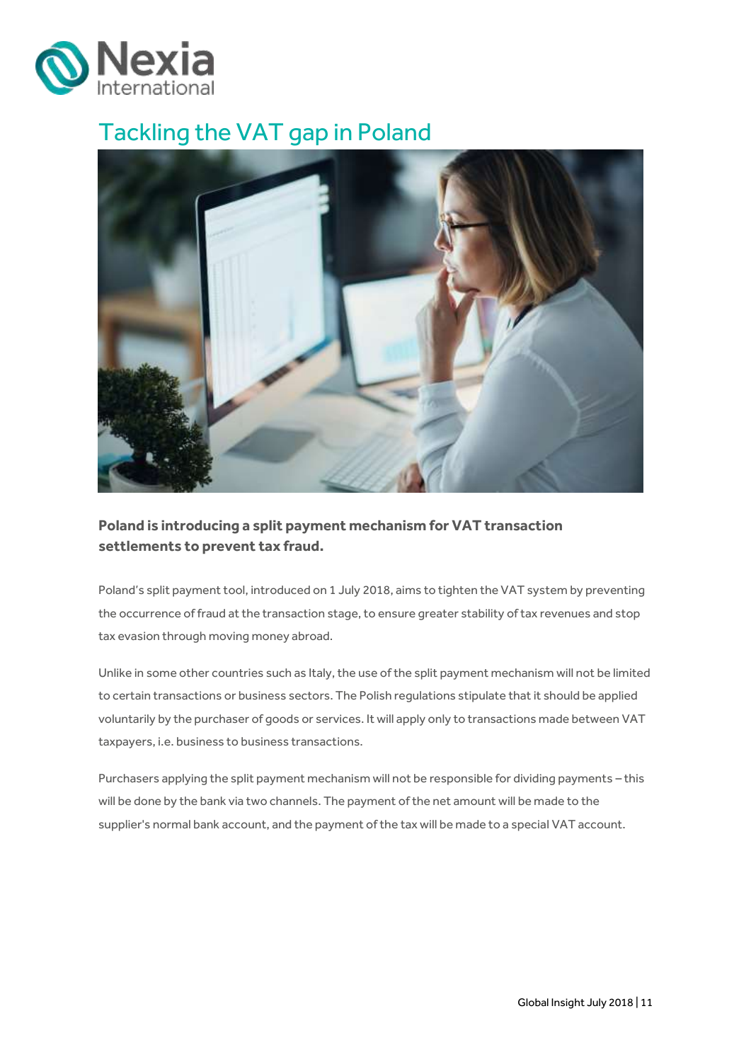

# <span id="page-10-0"></span>Tackling the VAT gap in Poland



## **Poland is introducing a split payment mechanism for VAT transaction settlements to prevent tax fraud.**

Poland's split payment tool, introduced on 1 July 2018, aims to tighten the VAT system by preventing the occurrence of fraud at the transaction stage, to ensure greater stability of tax revenues and stop tax evasion through moving money abroad.

Unlike in some other countries such as Italy, the use of the split payment mechanism will not be limited to certain transactions or business sectors. The Polish regulations stipulate that it should be applied voluntarily by the purchaser of goods or services. It will apply only to transactions made between VAT taxpayers, i.e. business to business transactions.

Purchasers applying the split payment mechanism will not be responsible for dividing payments – this will be done by the bank via two channels. The payment of the net amount will be made to the supplier's normal bank account, and the payment of the tax will be made to a special VAT account.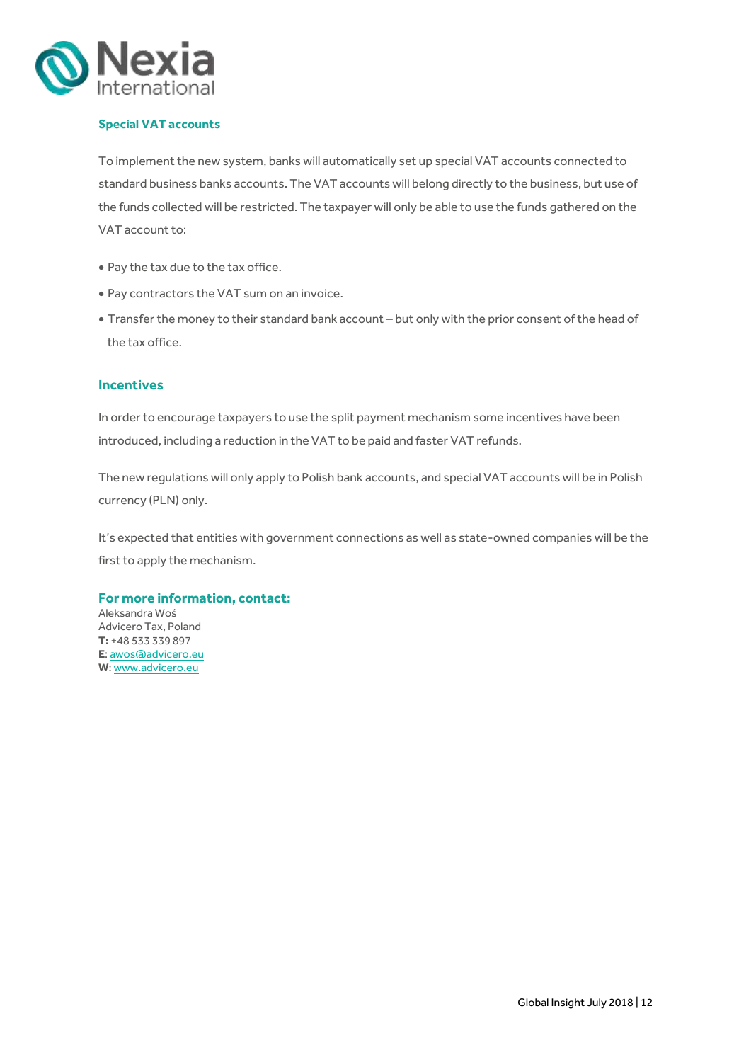

### **Special VAT accounts**

To implement the new system, banks will automatically set up special VAT accounts connected to standard business banks accounts. The VAT accounts will belong directly to the business, but use of the funds collected will be restricted. The taxpayer will only be able to use the funds gathered on the VAT account to:

- Pay the tax due to the tax office.
- Pay contractors the VAT sum on an invoice.
- Transfer the money to their standard bank account but only with the prior consent of the head of the tax office.

#### **Incentives**

In order to encourage taxpayers to use the split payment mechanism some incentives have been introduced, including a reduction in the VAT to be paid and faster VAT refunds.

The new regulations will only apply to Polish bank accounts, and special VAT accounts will be in Polish currency (PLN) only.

It's expected that entities with government connections as well as state-owned companies will be the first to apply the mechanism.

### **For more information, contact:**

Aleksandra Woś Advicero Tax, Poland **T:** +48 533 339 897 **E**[: awos@advicero.eu](mailto:awos@advicero.eu) **W**[: www.advicero.eu](http://www.advicero.eu/)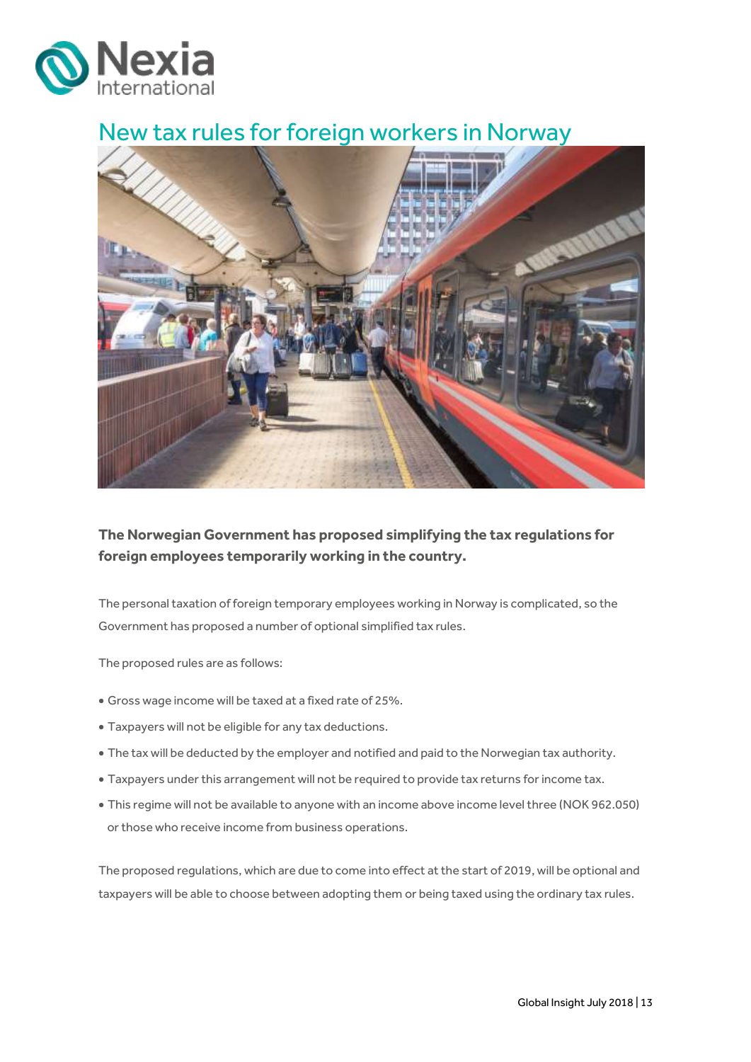

## <span id="page-12-0"></span>New tax rules for foreign workers in Norway



**The Norwegian Government has proposed simplifying the tax regulations for foreign employees temporarily working in the country.** 

The personal taxation of foreign temporary employees working in Norway is complicated, so the Government has proposed a number of optional simplified tax rules.

The proposed rules are as follows:

- Gross wage income will be taxed at a fixed rate of 25%.
- Taxpayers will not be eligible for any tax deductions.
- The tax will be deducted by the employer and notified and paid to the Norwegian tax authority.
- Taxpayers under this arrangement will not be required to provide tax returns for income tax.
- This regime will not be available to anyone with an income above income level three (NOK 962.050) or those who receive income from business operations.

The proposed regulations, which are due to come into effect at the start of 2019, will be optional and taxpayers will be able to choose between adopting them or being taxed using the ordinary tax rules.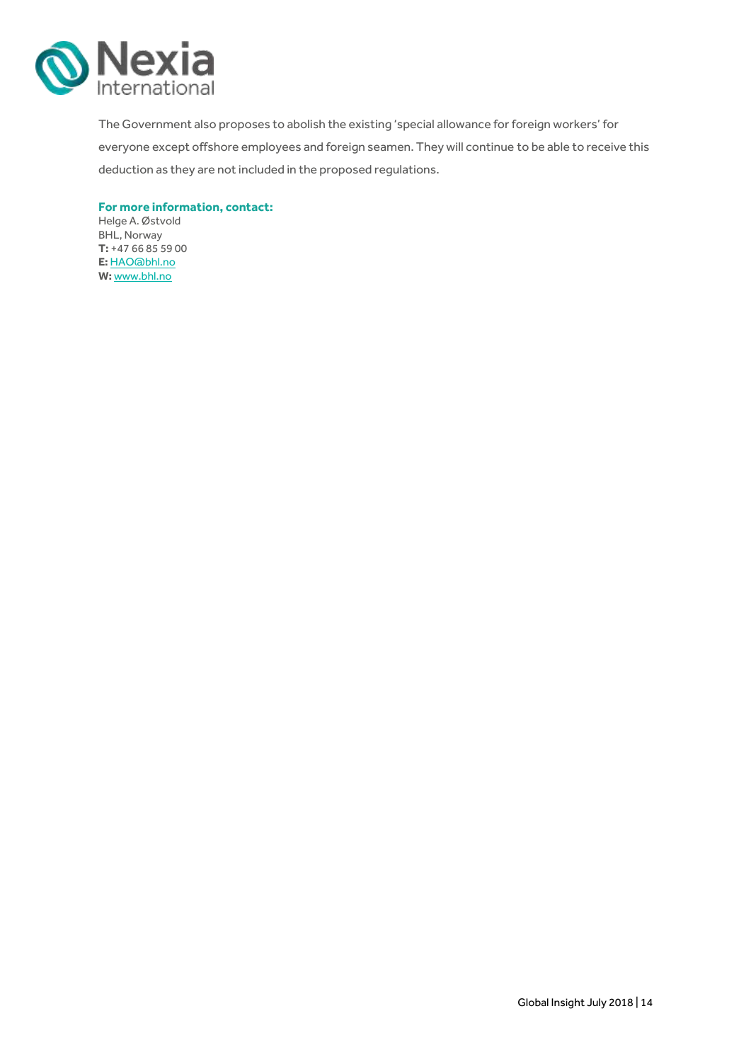

The Government also proposes to abolish the existing 'special allowance for foreign workers' for everyone except offshore employees and foreign seamen. They will continue to be able to receive this deduction as they are not included in the proposed regulations.

**For more information, contact:**

Helge A. Østvold BHL, Norway **T:** +47 66 85 59 00 **E:** [HAO@bhl.no](mailto:HAO@bhl.no) **W:** [www.bhl.no](http://www.bhl.no/)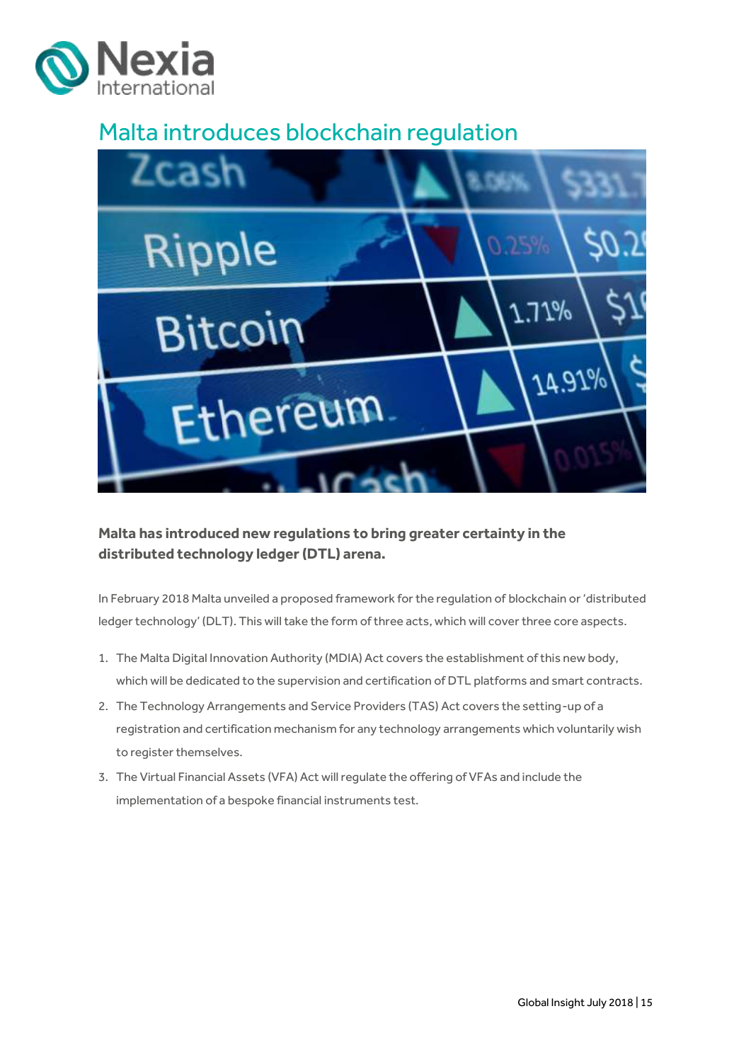

## <span id="page-14-0"></span>Malta introduces blockchain regulation



**Malta has introduced new regulations to bring greater certainty in the distributed technology ledger (DTL) arena.**

In February 2018 Malta unveiled a proposed framework for the regulation of blockchain or 'distributed ledger technology' (DLT). This will take the form of three acts, which will cover three core aspects.

- 1. The Malta Digital Innovation Authority (MDIA) Act covers the establishment of this new body, which will be dedicated to the supervision and certification of DTL platforms and smart contracts.
- 2. The Technology Arrangements and Service Providers (TAS) Act covers the setting-up of a registration and certification mechanism for any technology arrangements which voluntarily wish to register themselves.
- 3. The Virtual Financial Assets (VFA) Act will regulate the offering of VFAs and include the implementation of a bespoke financial instruments test.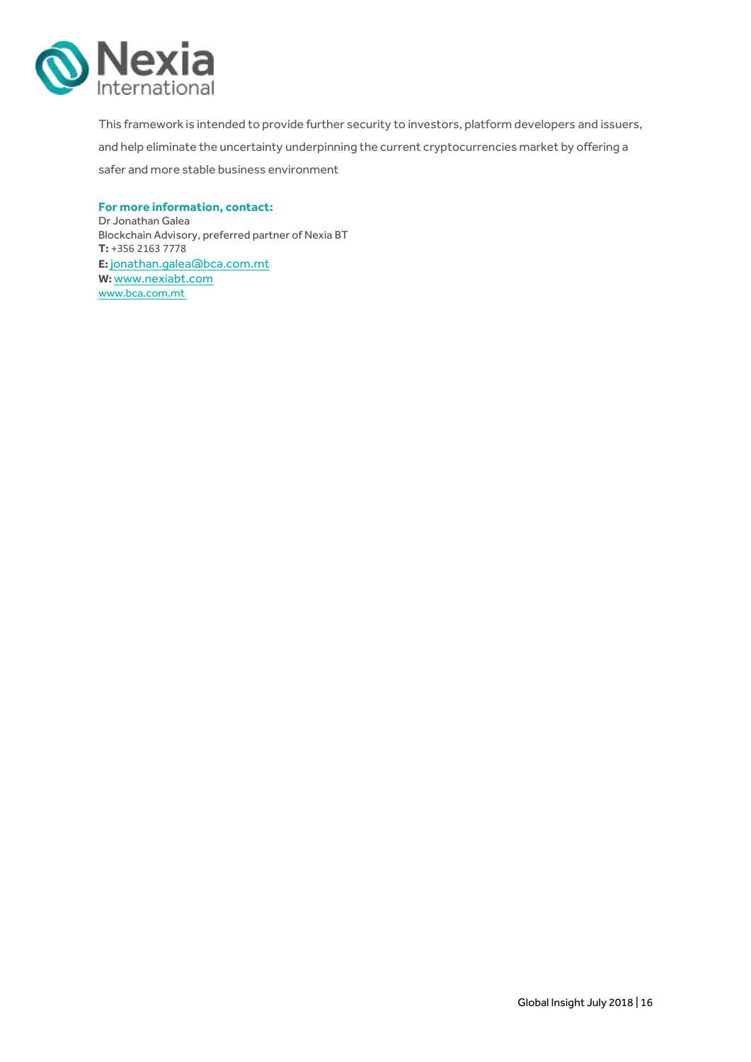

This framework is intended to provide further security to investors, platform developers and issuers, and help eliminate the uncertainty underpinning the current cryptocurrencies market by offering a safer and more stable business environment

### **For more information, contact:**

Dr Jonathan Galea Blockchain Advisory, preferred partner of Nexia BT **T:** +356 2163 7778 **E:** [jonathan.galea@bca.com.mt](mailto:jonathan.galea@bca.com.mt) **W:** [www.nexiabt.com](http://www.nexiabt.com/) www.bca.com.mt